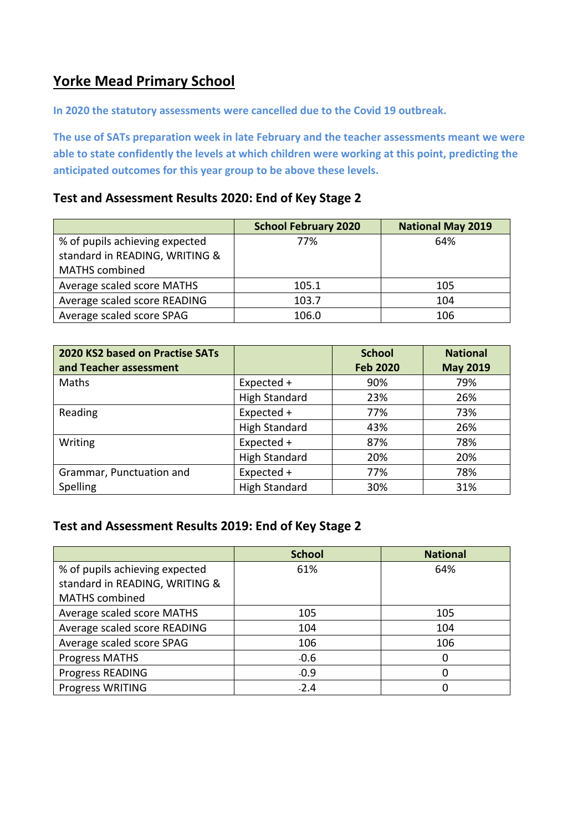### **Yorke Mead Primary School**

**In 2020 the statutory assessments were cancelled due to the Covid 19 outbreak.** 

**The use of SATs preparation week in late February and the teacher assessments meant we were able to state confidently the levels at which children were working at this point, predicting the anticipated outcomes for this year group to be above these levels.** 

#### **Test and Assessment Results 2020: End of Key Stage 2**

|                                | <b>School February 2020</b> | <b>National May 2019</b> |
|--------------------------------|-----------------------------|--------------------------|
| % of pupils achieving expected | 77%                         | 64%                      |
| standard in READING, WRITING & |                             |                          |
| <b>MATHS</b> combined          |                             |                          |
| Average scaled score MATHS     | 105.1                       | 105                      |
| Average scaled score READING   | 103.7                       | 104                      |
| Average scaled score SPAG      | 106.0                       | 106                      |

| 2020 KS2 based on Practise SATs |                      | <b>School</b>   | <b>National</b> |
|---------------------------------|----------------------|-----------------|-----------------|
| and Teacher assessment          |                      | <b>Feb 2020</b> | <b>May 2019</b> |
| Maths                           | Expected +           | 90%             | 79%             |
|                                 | <b>High Standard</b> | 23%             | 26%             |
| Reading                         | Expected +           | 77%             | 73%             |
|                                 | <b>High Standard</b> | 43%             | 26%             |
| Writing                         | Expected +           | 87%             | 78%             |
|                                 | <b>High Standard</b> | 20%             | 20%             |
| Grammar, Punctuation and        | Expected +           | 77%             | 78%             |
| Spelling                        | <b>High Standard</b> | 30%             | 31%             |

### **Test and Assessment Results 2019: End of Key Stage 2**

|                                | <b>School</b> | <b>National</b> |
|--------------------------------|---------------|-----------------|
| % of pupils achieving expected | 61%           | 64%             |
| standard in READING, WRITING & |               |                 |
| <b>MATHS</b> combined          |               |                 |
| Average scaled score MATHS     | 105           | 105             |
| Average scaled score READING   | 104           | 104             |
| Average scaled score SPAG      | 106           | 106             |
| <b>Progress MATHS</b>          | $-0.6$        | 0               |
| Progress READING               | $-0.9$        | 0               |
| Progress WRITING               | $-2.4$        | 0               |